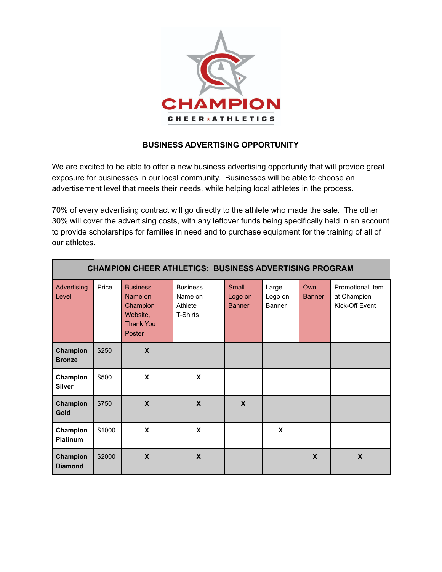

### **BUSINESS ADVERTISING OPPORTUNITY**

We are excited to be able to offer a new business advertising opportunity that will provide great exposure for businesses in our local community. Businesses will be able to choose an advertisement level that meets their needs, while helping local athletes in the process.

70% of every advertising contract will go directly to the athlete who made the sale. The other 30% will cover the advertising costs, with any leftover funds being specifically held in an account to provide scholarships for families in need and to purchase equipment for the training of all of our athletes.

| <b>CHAMPION CHEER ATHLETICS: BUSINESS ADVERTISING PROGRAM</b> |        |                                                                                  |                                                          |                                   |                            |                           |                                                   |  |  |  |
|---------------------------------------------------------------|--------|----------------------------------------------------------------------------------|----------------------------------------------------------|-----------------------------------|----------------------------|---------------------------|---------------------------------------------------|--|--|--|
| Advertising<br>Level                                          | Price  | <b>Business</b><br>Name on<br>Champion<br>Website,<br><b>Thank You</b><br>Poster | <b>Business</b><br>Name on<br>Athlete<br><b>T-Shirts</b> | Small<br>Logo on<br><b>Banner</b> | Large<br>Logo on<br>Banner | Own<br><b>Banner</b>      | Promotional Item<br>at Champion<br>Kick-Off Event |  |  |  |
| Champion<br><b>Bronze</b>                                     | \$250  | $\mathbf x$                                                                      |                                                          |                                   |                            |                           |                                                   |  |  |  |
| Champion<br><b>Silver</b>                                     | \$500  | X                                                                                | X                                                        |                                   |                            |                           |                                                   |  |  |  |
| Champion<br><b>Gold</b>                                       | \$750  | $\boldsymbol{\mathsf{X}}$                                                        | $\boldsymbol{\mathsf{X}}$                                | $\boldsymbol{\mathsf{X}}$         |                            |                           |                                                   |  |  |  |
| Champion<br><b>Platinum</b>                                   | \$1000 | X                                                                                | X                                                        |                                   | X                          |                           |                                                   |  |  |  |
| Champion<br><b>Diamond</b>                                    | \$2000 | $\boldsymbol{\mathsf{X}}$                                                        | $\boldsymbol{\mathsf{X}}$                                |                                   |                            | $\boldsymbol{\mathsf{X}}$ | $\boldsymbol{\mathsf{X}}$                         |  |  |  |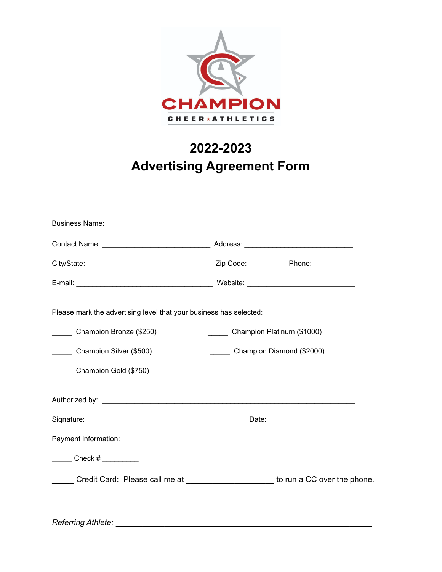

# **2022-2023 Advertising Agreement Form**

| Please mark the advertising level that your business has selected: |                                                                                   |  |  |  |  |
|--------------------------------------------------------------------|-----------------------------------------------------------------------------------|--|--|--|--|
| ________ Champion Bronze (\$250)                                   | Champion Platinum (\$1000)                                                        |  |  |  |  |
| Champion Silver (\$500)                                            | Champion Diamond (\$2000)                                                         |  |  |  |  |
| Champion Gold (\$750)                                              |                                                                                   |  |  |  |  |
|                                                                    |                                                                                   |  |  |  |  |
|                                                                    |                                                                                   |  |  |  |  |
| Payment information:                                               |                                                                                   |  |  |  |  |
| $\frac{1}{2}$ Check # $\frac{1}{2}$                                |                                                                                   |  |  |  |  |
|                                                                    | Credit Card: Please call me at ______________________ to run a CC over the phone. |  |  |  |  |
|                                                                    |                                                                                   |  |  |  |  |
|                                                                    |                                                                                   |  |  |  |  |

*Referring Athlete:* \_\_\_\_\_\_\_\_\_\_\_\_\_\_\_\_\_\_\_\_\_\_\_\_\_\_\_\_\_\_\_\_\_\_\_\_\_\_\_\_\_\_\_\_\_\_\_\_\_\_\_\_\_\_\_\_\_\_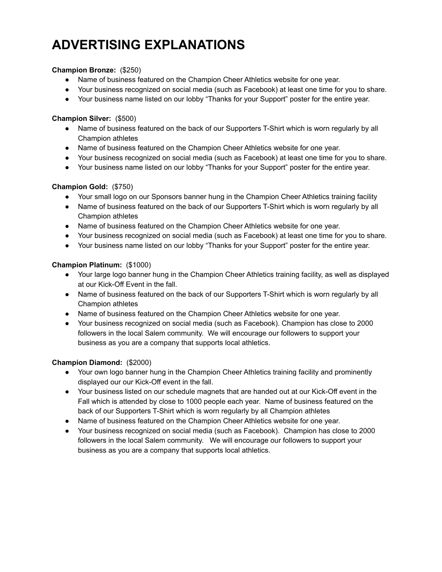# **ADVERTISING EXPLANATIONS**

#### **Champion Bronze:** (\$250)

- Name of business featured on the Champion Cheer Athletics website for one year.
- Your business recognized on social media (such as Facebook) at least one time for you to share.
- Your business name listed on our lobby "Thanks for your Support" poster for the entire year.

#### **Champion Silver:** (\$500)

- Name of business featured on the back of our Supporters T-Shirt which is worn regularly by all Champion athletes
- Name of business featured on the Champion Cheer Athletics website for one year.
- Your business recognized on social media (such as Facebook) at least one time for you to share.
- Your business name listed on our lobby "Thanks for your Support" poster for the entire year.

### **Champion Gold:** (\$750)

- Your small logo on our Sponsors banner hung in the Champion Cheer Athletics training facility
- Name of business featured on the back of our Supporters T-Shirt which is worn regularly by all Champion athletes
- Name of business featured on the Champion Cheer Athletics website for one year.
- Your business recognized on social media (such as Facebook) at least one time for you to share.
- Your business name listed on our lobby "Thanks for your Support" poster for the entire year.

### **Champion Platinum:** (\$1000)

- Your large logo banner hung in the Champion Cheer Athletics training facility, as well as displayed at our Kick-Off Event in the fall.
- Name of business featured on the back of our Supporters T-Shirt which is worn regularly by all Champion athletes
- Name of business featured on the Champion Cheer Athletics website for one year.
- Your business recognized on social media (such as Facebook). Champion has close to 2000 followers in the local Salem community. We will encourage our followers to support your business as you are a company that supports local athletics.

#### **Champion Diamond:** (\$2000)

- Your own logo banner hung in the Champion Cheer Athletics training facility and prominently displayed our our Kick-Off event in the fall.
- Your business listed on our schedule magnets that are handed out at our Kick-Off event in the Fall which is attended by close to 1000 people each year. Name of business featured on the back of our Supporters T-Shirt which is worn regularly by all Champion athletes
- Name of business featured on the Champion Cheer Athletics website for one year.
- Your business recognized on social media (such as Facebook). Champion has close to 2000 followers in the local Salem community. We will encourage our followers to support your business as you are a company that supports local athletics.